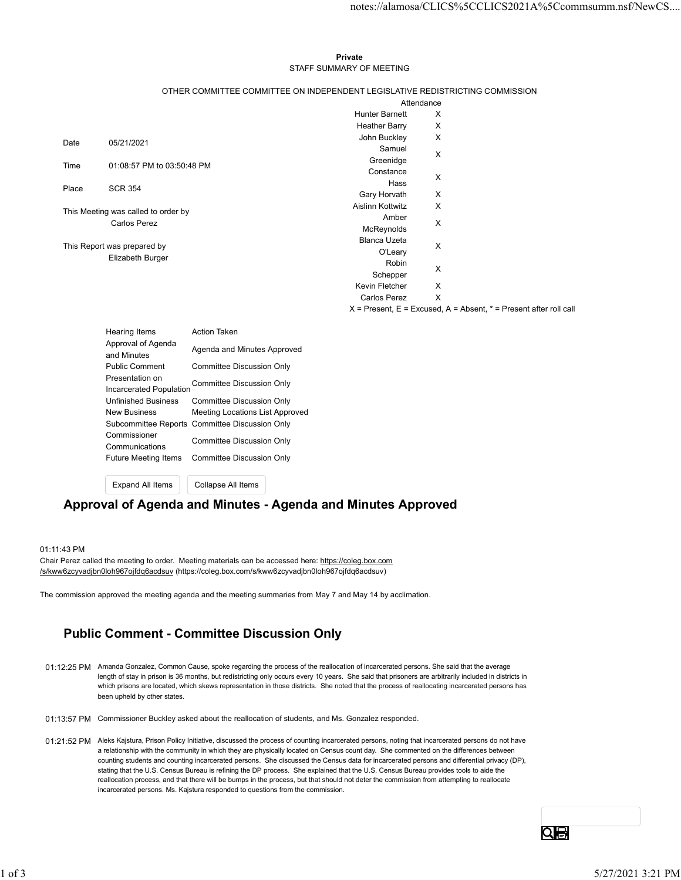#### Private **Private** and *Private* and *Private* and *Private* and *Private* and *Private* and *Private* and *Private* and *Private* and *Private* and *Private* and *Private* and *Private* and *Private* and *Private* and *Pri* STAFF SUMMARY OF MEETING

| notes://alamosa/CLICS%5CCLICS2021A%5Ccommsumm.nsf/NewCS<br>Private<br>STAFF SUMMARY OF MEETING<br>OTHER COMMITTEE COMMITTEE ON INDEPENDENT LEGISLATIVE REDISTRICTING COMMISSION<br>Attendance<br><b>Hunter Barnett</b><br>X<br>X<br><b>Heather Barry</b><br>John Buckley<br>X<br>Date<br>05/21/2021<br>Samuel<br>X<br>Greenidge<br>01:08:57 PM to 03:50:48 PM<br>Time<br>Constance<br>X<br>Hass<br><b>SCR 354</b><br>Place<br>Gary Horvath<br>Χ<br>X<br>Aislinn Kottwitz<br>This Meeting was called to order by<br>Amber<br><b>Carlos Perez</b><br>X<br>McReynolds<br>Blanca Uzeta<br>X<br>This Report was prepared by<br>O'Leary<br>Elizabeth Burger<br>Robin<br>X<br>Schepper<br>X<br>Kevin Fletcher<br><b>Carlos Perez</b><br>X<br>$X =$ Present, $E =$ Excused, $A =$ Absent, $* =$ Present after roll call<br><b>Action Taken</b><br><b>Hearing Items</b><br>Approval of Agenda<br>Agenda and Minutes Approved<br>and Minutes<br><b>Public Comment</b><br><b>Committee Discussion Only</b><br>Presentation on<br>Committee Discussion Only<br>Incarcerated Population<br><b>Unfinished Business</b><br><b>Committee Discussion Only</b> |  |                     |                                 |  |  |
|----------------------------------------------------------------------------------------------------------------------------------------------------------------------------------------------------------------------------------------------------------------------------------------------------------------------------------------------------------------------------------------------------------------------------------------------------------------------------------------------------------------------------------------------------------------------------------------------------------------------------------------------------------------------------------------------------------------------------------------------------------------------------------------------------------------------------------------------------------------------------------------------------------------------------------------------------------------------------------------------------------------------------------------------------------------------------------------------------------------------------------------------|--|---------------------|---------------------------------|--|--|
|                                                                                                                                                                                                                                                                                                                                                                                                                                                                                                                                                                                                                                                                                                                                                                                                                                                                                                                                                                                                                                                                                                                                              |  |                     |                                 |  |  |
|                                                                                                                                                                                                                                                                                                                                                                                                                                                                                                                                                                                                                                                                                                                                                                                                                                                                                                                                                                                                                                                                                                                                              |  |                     |                                 |  |  |
|                                                                                                                                                                                                                                                                                                                                                                                                                                                                                                                                                                                                                                                                                                                                                                                                                                                                                                                                                                                                                                                                                                                                              |  |                     |                                 |  |  |
|                                                                                                                                                                                                                                                                                                                                                                                                                                                                                                                                                                                                                                                                                                                                                                                                                                                                                                                                                                                                                                                                                                                                              |  |                     |                                 |  |  |
|                                                                                                                                                                                                                                                                                                                                                                                                                                                                                                                                                                                                                                                                                                                                                                                                                                                                                                                                                                                                                                                                                                                                              |  |                     |                                 |  |  |
|                                                                                                                                                                                                                                                                                                                                                                                                                                                                                                                                                                                                                                                                                                                                                                                                                                                                                                                                                                                                                                                                                                                                              |  |                     |                                 |  |  |
|                                                                                                                                                                                                                                                                                                                                                                                                                                                                                                                                                                                                                                                                                                                                                                                                                                                                                                                                                                                                                                                                                                                                              |  |                     |                                 |  |  |
|                                                                                                                                                                                                                                                                                                                                                                                                                                                                                                                                                                                                                                                                                                                                                                                                                                                                                                                                                                                                                                                                                                                                              |  |                     |                                 |  |  |
|                                                                                                                                                                                                                                                                                                                                                                                                                                                                                                                                                                                                                                                                                                                                                                                                                                                                                                                                                                                                                                                                                                                                              |  |                     |                                 |  |  |
|                                                                                                                                                                                                                                                                                                                                                                                                                                                                                                                                                                                                                                                                                                                                                                                                                                                                                                                                                                                                                                                                                                                                              |  |                     |                                 |  |  |
|                                                                                                                                                                                                                                                                                                                                                                                                                                                                                                                                                                                                                                                                                                                                                                                                                                                                                                                                                                                                                                                                                                                                              |  |                     |                                 |  |  |
|                                                                                                                                                                                                                                                                                                                                                                                                                                                                                                                                                                                                                                                                                                                                                                                                                                                                                                                                                                                                                                                                                                                                              |  |                     |                                 |  |  |
|                                                                                                                                                                                                                                                                                                                                                                                                                                                                                                                                                                                                                                                                                                                                                                                                                                                                                                                                                                                                                                                                                                                                              |  |                     |                                 |  |  |
|                                                                                                                                                                                                                                                                                                                                                                                                                                                                                                                                                                                                                                                                                                                                                                                                                                                                                                                                                                                                                                                                                                                                              |  |                     |                                 |  |  |
|                                                                                                                                                                                                                                                                                                                                                                                                                                                                                                                                                                                                                                                                                                                                                                                                                                                                                                                                                                                                                                                                                                                                              |  |                     |                                 |  |  |
|                                                                                                                                                                                                                                                                                                                                                                                                                                                                                                                                                                                                                                                                                                                                                                                                                                                                                                                                                                                                                                                                                                                                              |  |                     |                                 |  |  |
|                                                                                                                                                                                                                                                                                                                                                                                                                                                                                                                                                                                                                                                                                                                                                                                                                                                                                                                                                                                                                                                                                                                                              |  |                     |                                 |  |  |
|                                                                                                                                                                                                                                                                                                                                                                                                                                                                                                                                                                                                                                                                                                                                                                                                                                                                                                                                                                                                                                                                                                                                              |  |                     |                                 |  |  |
|                                                                                                                                                                                                                                                                                                                                                                                                                                                                                                                                                                                                                                                                                                                                                                                                                                                                                                                                                                                                                                                                                                                                              |  |                     |                                 |  |  |
|                                                                                                                                                                                                                                                                                                                                                                                                                                                                                                                                                                                                                                                                                                                                                                                                                                                                                                                                                                                                                                                                                                                                              |  |                     |                                 |  |  |
|                                                                                                                                                                                                                                                                                                                                                                                                                                                                                                                                                                                                                                                                                                                                                                                                                                                                                                                                                                                                                                                                                                                                              |  |                     |                                 |  |  |
|                                                                                                                                                                                                                                                                                                                                                                                                                                                                                                                                                                                                                                                                                                                                                                                                                                                                                                                                                                                                                                                                                                                                              |  |                     |                                 |  |  |
|                                                                                                                                                                                                                                                                                                                                                                                                                                                                                                                                                                                                                                                                                                                                                                                                                                                                                                                                                                                                                                                                                                                                              |  |                     |                                 |  |  |
|                                                                                                                                                                                                                                                                                                                                                                                                                                                                                                                                                                                                                                                                                                                                                                                                                                                                                                                                                                                                                                                                                                                                              |  |                     |                                 |  |  |
|                                                                                                                                                                                                                                                                                                                                                                                                                                                                                                                                                                                                                                                                                                                                                                                                                                                                                                                                                                                                                                                                                                                                              |  |                     |                                 |  |  |
|                                                                                                                                                                                                                                                                                                                                                                                                                                                                                                                                                                                                                                                                                                                                                                                                                                                                                                                                                                                                                                                                                                                                              |  |                     |                                 |  |  |
|                                                                                                                                                                                                                                                                                                                                                                                                                                                                                                                                                                                                                                                                                                                                                                                                                                                                                                                                                                                                                                                                                                                                              |  |                     |                                 |  |  |
|                                                                                                                                                                                                                                                                                                                                                                                                                                                                                                                                                                                                                                                                                                                                                                                                                                                                                                                                                                                                                                                                                                                                              |  |                     |                                 |  |  |
|                                                                                                                                                                                                                                                                                                                                                                                                                                                                                                                                                                                                                                                                                                                                                                                                                                                                                                                                                                                                                                                                                                                                              |  |                     |                                 |  |  |
|                                                                                                                                                                                                                                                                                                                                                                                                                                                                                                                                                                                                                                                                                                                                                                                                                                                                                                                                                                                                                                                                                                                                              |  |                     |                                 |  |  |
|                                                                                                                                                                                                                                                                                                                                                                                                                                                                                                                                                                                                                                                                                                                                                                                                                                                                                                                                                                                                                                                                                                                                              |  |                     |                                 |  |  |
|                                                                                                                                                                                                                                                                                                                                                                                                                                                                                                                                                                                                                                                                                                                                                                                                                                                                                                                                                                                                                                                                                                                                              |  |                     |                                 |  |  |
|                                                                                                                                                                                                                                                                                                                                                                                                                                                                                                                                                                                                                                                                                                                                                                                                                                                                                                                                                                                                                                                                                                                                              |  |                     |                                 |  |  |
|                                                                                                                                                                                                                                                                                                                                                                                                                                                                                                                                                                                                                                                                                                                                                                                                                                                                                                                                                                                                                                                                                                                                              |  |                     |                                 |  |  |
|                                                                                                                                                                                                                                                                                                                                                                                                                                                                                                                                                                                                                                                                                                                                                                                                                                                                                                                                                                                                                                                                                                                                              |  | <b>New Business</b> | Meeting Locations List Approved |  |  |
| Subcommittee Reports Committee Discussion Only<br>Commissioner                                                                                                                                                                                                                                                                                                                                                                                                                                                                                                                                                                                                                                                                                                                                                                                                                                                                                                                                                                                                                                                                               |  |                     |                                 |  |  |
| <b>Committee Discussion Only</b><br>Communications                                                                                                                                                                                                                                                                                                                                                                                                                                                                                                                                                                                                                                                                                                                                                                                                                                                                                                                                                                                                                                                                                           |  |                     |                                 |  |  |
| Future Meeting Items<br><b>Committee Discussion Only</b>                                                                                                                                                                                                                                                                                                                                                                                                                                                                                                                                                                                                                                                                                                                                                                                                                                                                                                                                                                                                                                                                                     |  |                     |                                 |  |  |
| Collapse All Items<br>Expand All Items                                                                                                                                                                                                                                                                                                                                                                                                                                                                                                                                                                                                                                                                                                                                                                                                                                                                                                                                                                                                                                                                                                       |  |                     |                                 |  |  |
| Approval of Agenda and Minutes - Agenda and Minutes Approved                                                                                                                                                                                                                                                                                                                                                                                                                                                                                                                                                                                                                                                                                                                                                                                                                                                                                                                                                                                                                                                                                 |  |                     |                                 |  |  |

### Approval of Agenda and Minutes - Agenda and Minutes Approved

#### 01:11:43 PM

Chair Perez called the meeting to order. Meeting materials can be accessed here: https://coleg.box.com /s/kww6zcyvadjbn0loh967ojfdq6acdsuv (https://coleg.box.com/s/kww6zcyvadjbn0loh967ojfdq6acdsuv)

The commission approved the meeting agenda and the meeting summaries from May 7 and May 14 by acclimation.

## Public Comment - Committee Discussion Only

- 01:12:25 PM Amanda Gonzalez, Common Cause, spoke regarding the process of the reallocation of incarcerated persons. She said that the average length of stay in prison is 36 months, but redistricting only occurs every 10 years. She said that prisoners are arbitrarily included in districts in which prisons are located, which skews representation in those districts. She noted that the process of reallocating incarcerated persons has been upheld by other states.
- 01:13:57 PM Commissioner Buckley asked about the reallocation of students, and Ms. Gonzalez responded.
- 01:21:52 PM Aleks Kajstura, Prison Policy Initiative, discussed the process of counting incarcerated persons, noting that incarcerated persons do not have a relationship with the community in which they are physically located on Census count day. She commented on the differences between counting students and counting incarcerated persons. She discussed the Census data for incarcerated persons and differential privacy (DP), stating that the U.S. Census Bureau is refining the DP process. She explained that the U.S. Census Bureau provides tools to aide the reallocation process, and that there will be bumps in the process, but that should not deter the commission from attempting to reallocate incarcerated persons. Ms. Kajstura responded to questions from the commission. The commission approved the meeting agends and the meeting summaries from Mey 7 and May 14 by acclimation.<br>
11 OLD COMMENT - COMMITTEEE DISCUSSION ONITY<br>
11:12:25 PM Arenada Generalis: Commen Cases, spales regarding the pr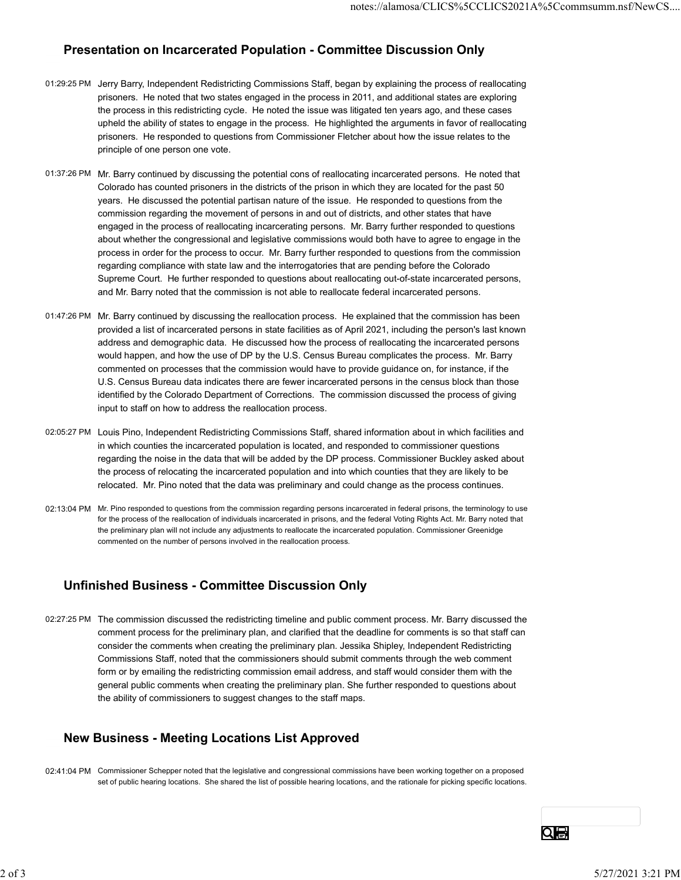## Presentation on Incarcerated Population - Committee Discussion Only

- 01:29:25 PM Jerry Barry, Independent Redistricting Commissions Staff, began by explaining the process of reallocating prisoners. He noted that two states engaged in the process in 2011, and additional states are exploring the process in this redistricting cycle. He noted the issue was litigated ten years ago, and these cases upheld the ability of states to engage in the process. He highlighted the arguments in favor of reallocating prisoners. He responded to questions from Commissioner Fletcher about how the issue relates to the principle of one person one vote.
- 01:37:26 PM Mr. Barry continued by discussing the potential cons of reallocating incarcerated persons. He noted that Colorado has counted prisoners in the districts of the prison in which they are located for the past 50 years. He discussed the potential partisan nature of the issue. He responded to questions from the commission regarding the movement of persons in and out of districts, and other states that have engaged in the process of reallocating incarcerating persons. Mr. Barry further responded to questions about whether the congressional and legislative commissions would both have to agree to engage in the process in order for the process to occur. Mr. Barry further responded to questions from the commission regarding compliance with state law and the interrogatories that are pending before the Colorado Supreme Court. He further responded to questions about reallocating out-of-state incarcerated persons, and Mr. Barry noted that the commission is not able to reallocate federal incarcerated persons.
- 01:47:26 PM Mr. Barry continued by discussing the reallocation process. He explained that the commission has been provided a list of incarcerated persons in state facilities as of April 2021, including the person's last known address and demographic data. He discussed how the process of reallocating the incarcerated persons would happen, and how the use of DP by the U.S. Census Bureau complicates the process. Mr. Barry commented on processes that the commission would have to provide guidance on, for instance, if the U.S. Census Bureau data indicates there are fewer incarcerated persons in the census block than those identified by the Colorado Department of Corrections. The commission discussed the process of giving input to staff on how to address the reallocation process.
- 02:05:27 PM Louis Pino, Independent Redistricting Commissions Staff, shared information about in which facilities and in which counties the incarcerated population is located, and responded to commissioner questions regarding the noise in the data that will be added by the DP process. Commissioner Buckley asked about the process of relocating the incarcerated population and into which counties that they are likely to be relocated. Mr. Pino noted that the data was preliminary and could change as the process continues.
- 02:13:04 PM Mr. Pino responded to questions from the commission regarding persons incarcerated in federal prisons, the terminology to use for the process of the reallocation of individuals incarcerated in prisons, and the federal Voting Rights Act. Mr. Barry noted that the preliminary plan will not include any adjustments to reallocate the incarcerated population. Commissioner Greenidge commented on the number of persons involved in the reallocation process.

# Unfinished Business - Committee Discussion Only

02:27:25 PM The commission discussed the redistricting timeline and public comment process. Mr. Barry discussed the comment process for the preliminary plan, and clarified that the deadline for comments is so that staff can consider the comments when creating the preliminary plan. Jessika Shipley, Independent Redistricting Commissions Staff, noted that the commissioners should submit comments through the web comment form or by emailing the redistricting commission email address, and staff would consider them with the general public comments when creating the preliminary plan. She further responded to questions about the ability of commissioners to suggest changes to the staff maps. UNITINSTRED BUISINESS - COMMITTED UNSCUSSION UNITY<br>
2227.25 PM The commission discussed the redistricting timeline and public comment process. Mr. Barry discussed the<br>
comment process for the preliminary plan, and darbitin

# New Business - Meeting Locations List Approved

02:41:04 PM Commissioner Schepper noted that the legislative and congressional commissions have been working together on a proposed set of public hearing locations. She shared the list of possible hearing locations, and the rationale for picking specific locations.